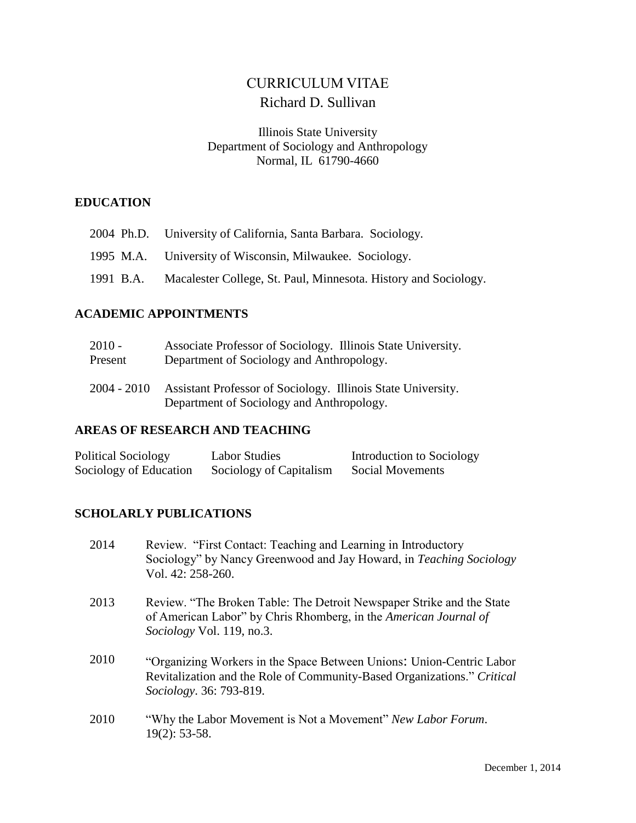# CURRICULUM VITAE Richard D. Sullivan

#### Illinois State University Department of Sociology and Anthropology Normal, IL 61790-4660

#### **EDUCATION**

|  | 2004 Ph.D. University of California, Santa Barbara. Sociology.            |
|--|---------------------------------------------------------------------------|
|  | 1995 M.A. University of Wisconsin, Milwaukee. Sociology.                  |
|  | 1991 B.A. Macalester College, St. Paul, Minnesota. History and Sociology. |

#### **ACADEMIC APPOINTMENTS**

| $2010 -$      | Associate Professor of Sociology. Illinois State University.                                              |
|---------------|-----------------------------------------------------------------------------------------------------------|
| Present       | Department of Sociology and Anthropology.                                                                 |
| $2004 - 2010$ | Assistant Professor of Sociology. Illinois State University.<br>Department of Sociology and Anthropology. |

#### **AREAS OF RESEARCH AND TEACHING**

| Political Sociology    | <b>Labor Studies</b>    | Introduction to Sociology |
|------------------------|-------------------------|---------------------------|
| Sociology of Education | Sociology of Capitalism | Social Movements          |

### **SCHOLARLY PUBLICATIONS**

- 2014 Review. "First Contact: Teaching and Learning in Introductory Sociology" by Nancy Greenwood and Jay Howard, in *Teaching Sociology* Vol. 42: 258-260.
- 2013 Review. "The Broken Table: The Detroit Newspaper Strike and the State of American Labor" by Chris Rhomberg, in the *American Journal of Sociology* Vol. 119, no.3.
- 2010 "Organizing Workers in the Space Between Unions: Union-Centric Labor Revitalization and the Role of Community-Based Organizations." *Critical Sociology*. 36: 793-819.
- 2010 "Why the Labor Movement is Not a Movement" *New Labor Forum*. 19(2): 53-58.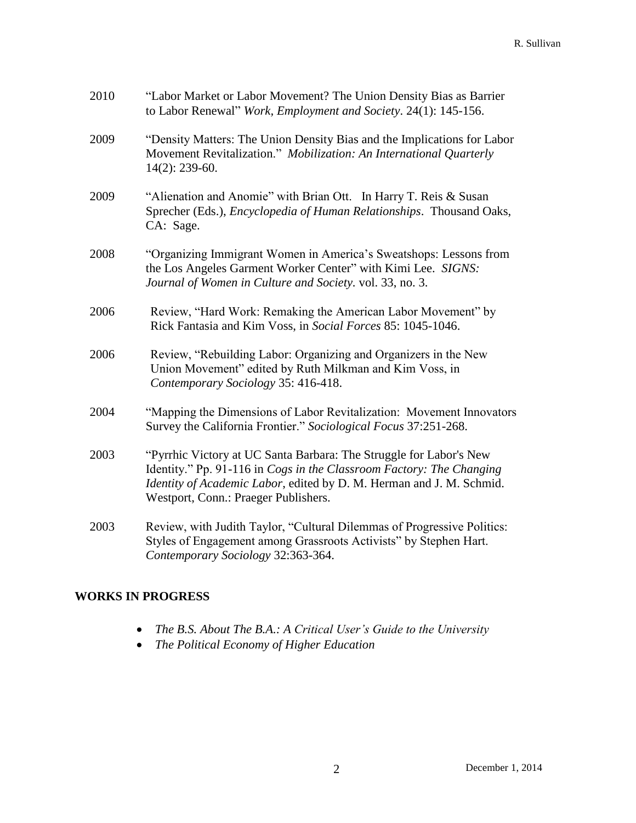| 2010 | "Labor Market or Labor Movement? The Union Density Bias as Barrier<br>to Labor Renewal" Work, Employment and Society. 24(1): 145-156.                                                                                                                      |
|------|------------------------------------------------------------------------------------------------------------------------------------------------------------------------------------------------------------------------------------------------------------|
| 2009 | "Density Matters: The Union Density Bias and the Implications for Labor<br>Movement Revitalization." Mobilization: An International Quarterly<br>$14(2)$ : 239-60.                                                                                         |
| 2009 | "Alienation and Anomie" with Brian Ott. In Harry T. Reis & Susan<br>Sprecher (Eds.), <i>Encyclopedia of Human Relationships</i> . Thousand Oaks,<br>CA: Sage.                                                                                              |
| 2008 | "Organizing Immigrant Women in America's Sweatshops: Lessons from<br>the Los Angeles Garment Worker Center" with Kimi Lee. SIGNS:<br>Journal of Women in Culture and Society. vol. 33, no. 3.                                                              |
| 2006 | Review, "Hard Work: Remaking the American Labor Movement" by<br>Rick Fantasia and Kim Voss, in Social Forces 85: 1045-1046.                                                                                                                                |
| 2006 | Review, "Rebuilding Labor: Organizing and Organizers in the New<br>Union Movement" edited by Ruth Milkman and Kim Voss, in<br>Contemporary Sociology 35: 416-418.                                                                                          |
| 2004 | "Mapping the Dimensions of Labor Revitalization: Movement Innovators<br>Survey the California Frontier." Sociological Focus 37:251-268.                                                                                                                    |
| 2003 | "Pyrrhic Victory at UC Santa Barbara: The Struggle for Labor's New<br>Identity." Pp. 91-116 in Cogs in the Classroom Factory: The Changing<br>Identity of Academic Labor, edited by D. M. Herman and J. M. Schmid.<br>Westport, Conn.: Praeger Publishers. |
| 2003 | Review, with Judith Taylor, "Cultural Dilemmas of Progressive Politics:<br>Styles of Engagement among Grassroots Activists" by Stephen Hart.<br>Contemporary Sociology 32:363-364.                                                                         |

### **WORKS IN PROGRESS**

- *The B.S. About The B.A.: A Critical User's Guide to the University*
- *The Political Economy of Higher Education*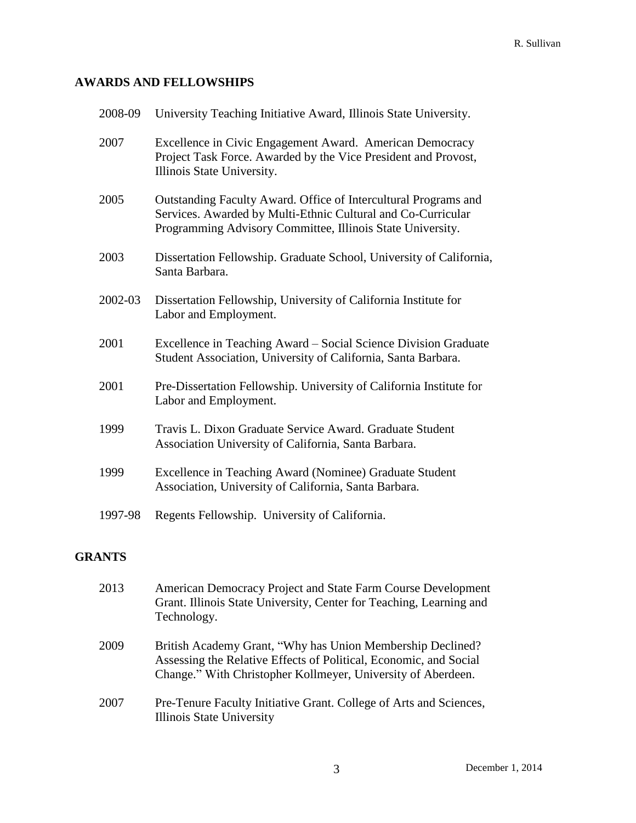## **AWARDS AND FELLOWSHIPS**

| 2008-09 | University Teaching Initiative Award, Illinois State University.                                                                                                                              |
|---------|-----------------------------------------------------------------------------------------------------------------------------------------------------------------------------------------------|
| 2007    | Excellence in Civic Engagement Award. American Democracy<br>Project Task Force. Awarded by the Vice President and Provost,<br>Illinois State University.                                      |
| 2005    | Outstanding Faculty Award. Office of Intercultural Programs and<br>Services. Awarded by Multi-Ethnic Cultural and Co-Curricular<br>Programming Advisory Committee, Illinois State University. |
| 2003    | Dissertation Fellowship. Graduate School, University of California,<br>Santa Barbara.                                                                                                         |
| 2002-03 | Dissertation Fellowship, University of California Institute for<br>Labor and Employment.                                                                                                      |
| 2001    | Excellence in Teaching Award – Social Science Division Graduate<br>Student Association, University of California, Santa Barbara.                                                              |
| 2001    | Pre-Dissertation Fellowship. University of California Institute for<br>Labor and Employment.                                                                                                  |
| 1999    | Travis L. Dixon Graduate Service Award. Graduate Student<br>Association University of California, Santa Barbara.                                                                              |
| 1999    | Excellence in Teaching Award (Nominee) Graduate Student<br>Association, University of California, Santa Barbara.                                                                              |
| 1997-98 | Regents Fellowship. University of California.                                                                                                                                                 |

# **GRANTS**

| 2013 | American Democracy Project and State Farm Course Development<br>Grant. Illinois State University, Center for Teaching, Learning and<br>Technology.                                              |
|------|-------------------------------------------------------------------------------------------------------------------------------------------------------------------------------------------------|
| 2009 | British Academy Grant, "Why has Union Membership Declined?<br>Assessing the Relative Effects of Political, Economic, and Social<br>Change." With Christopher Kollmeyer, University of Aberdeen. |
| 2007 | Pre-Tenure Faculty Initiative Grant. College of Arts and Sciences,<br>Illinois State University                                                                                                 |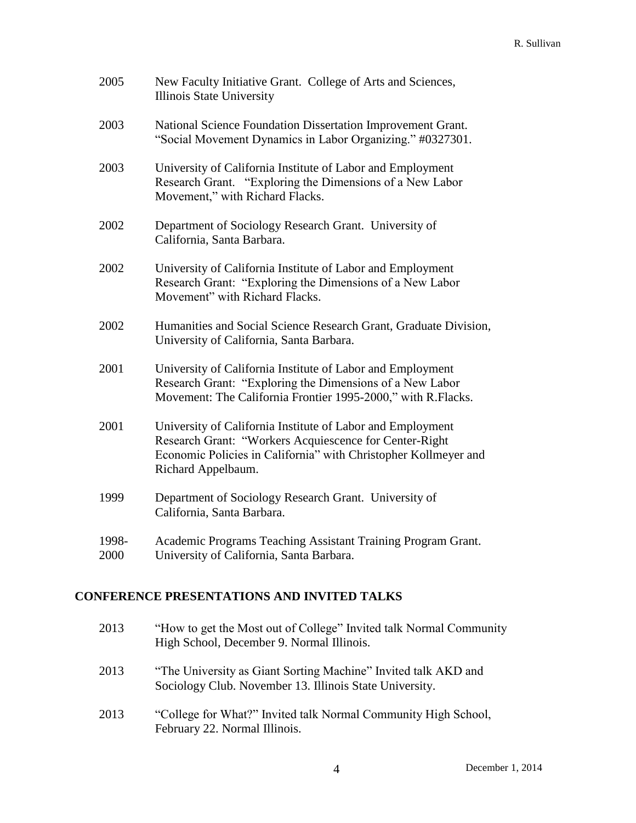| 2005          | New Faculty Initiative Grant. College of Arts and Sciences,<br><b>Illinois State University</b>                                                                                                               |
|---------------|---------------------------------------------------------------------------------------------------------------------------------------------------------------------------------------------------------------|
| 2003          | National Science Foundation Dissertation Improvement Grant.<br>"Social Movement Dynamics in Labor Organizing." #0327301.                                                                                      |
| 2003          | University of California Institute of Labor and Employment<br>Research Grant. "Exploring the Dimensions of a New Labor<br>Movement," with Richard Flacks.                                                     |
| 2002          | Department of Sociology Research Grant. University of<br>California, Santa Barbara.                                                                                                                           |
| 2002          | University of California Institute of Labor and Employment<br>Research Grant: "Exploring the Dimensions of a New Labor<br>Movement" with Richard Flacks.                                                      |
| 2002          | Humanities and Social Science Research Grant, Graduate Division,<br>University of California, Santa Barbara.                                                                                                  |
| 2001          | University of California Institute of Labor and Employment<br>Research Grant: "Exploring the Dimensions of a New Labor<br>Movement: The California Frontier 1995-2000," with R.Flacks.                        |
| 2001          | University of California Institute of Labor and Employment<br>Research Grant: "Workers Acquiescence for Center-Right<br>Economic Policies in California" with Christopher Kollmeyer and<br>Richard Appelbaum. |
| 1999          | Department of Sociology Research Grant. University of<br>California, Santa Barbara.                                                                                                                           |
| 1998-<br>2000 | Academic Programs Teaching Assistant Training Program Grant.<br>University of California, Santa Barbara.                                                                                                      |

# **CONFERENCE PRESENTATIONS AND INVITED TALKS**

| 2013 | "How to get the Most out of College" Invited talk Normal Community<br>High School, December 9. Normal Illinois.           |
|------|---------------------------------------------------------------------------------------------------------------------------|
| 2013 | "The University as Giant Sorting Machine" Invited talk AKD and<br>Sociology Club. November 13. Illinois State University. |
| 2013 | "College for What?" Invited talk Normal Community High School,<br>February 22. Normal Illinois.                           |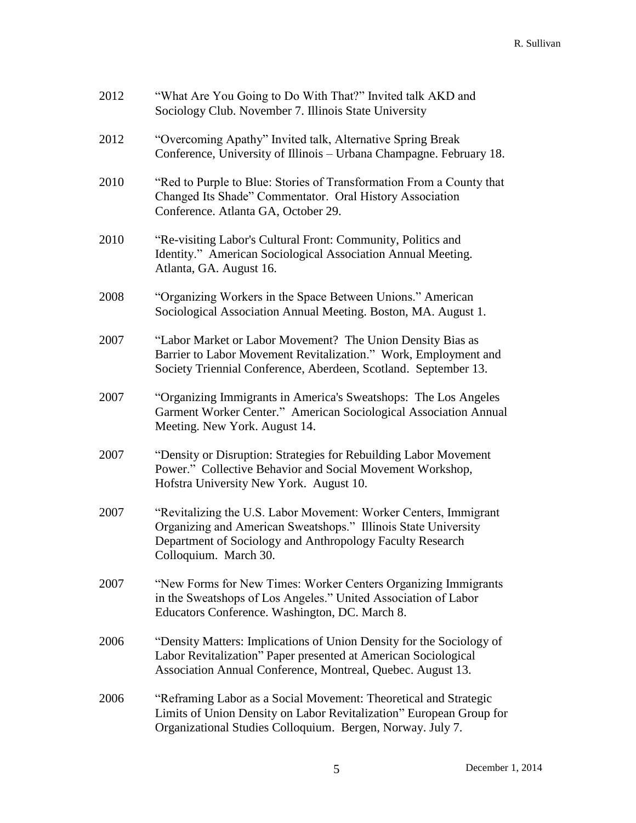| 2012 | "What Are You Going to Do With That?" Invited talk AKD and<br>Sociology Club. November 7. Illinois State University                                                                                                      |
|------|--------------------------------------------------------------------------------------------------------------------------------------------------------------------------------------------------------------------------|
| 2012 | "Overcoming Apathy" Invited talk, Alternative Spring Break<br>Conference, University of Illinois - Urbana Champagne. February 18.                                                                                        |
| 2010 | "Red to Purple to Blue: Stories of Transformation From a County that<br>Changed Its Shade" Commentator. Oral History Association<br>Conference. Atlanta GA, October 29.                                                  |
| 2010 | "Re-visiting Labor's Cultural Front: Community, Politics and<br>Identity." American Sociological Association Annual Meeting.<br>Atlanta, GA. August 16.                                                                  |
| 2008 | "Organizing Workers in the Space Between Unions." American<br>Sociological Association Annual Meeting. Boston, MA. August 1.                                                                                             |
| 2007 | "Labor Market or Labor Movement? The Union Density Bias as<br>Barrier to Labor Movement Revitalization." Work, Employment and<br>Society Triennial Conference, Aberdeen, Scotland. September 13.                         |
| 2007 | "Organizing Immigrants in America's Sweatshops: The Los Angeles<br>Garment Worker Center." American Sociological Association Annual<br>Meeting. New York. August 14.                                                     |
| 2007 | "Density or Disruption: Strategies for Rebuilding Labor Movement<br>Power." Collective Behavior and Social Movement Workshop,<br>Hofstra University New York. August 10.                                                 |
| 2007 | "Revitalizing the U.S. Labor Movement: Worker Centers, Immigrant<br>Organizing and American Sweatshops." Illinois State University<br>Department of Sociology and Anthropology Faculty Research<br>Colloquium. March 30. |
| 2007 | "New Forms for New Times: Worker Centers Organizing Immigrants<br>in the Sweatshops of Los Angeles." United Association of Labor<br>Educators Conference. Washington, DC. March 8.                                       |
| 2006 | "Density Matters: Implications of Union Density for the Sociology of<br>Labor Revitalization" Paper presented at American Sociological<br>Association Annual Conference, Montreal, Quebec. August 13.                    |
| 2006 | "Reframing Labor as a Social Movement: Theoretical and Strategic<br>Limits of Union Density on Labor Revitalization" European Group for<br>Organizational Studies Colloquium. Bergen, Norway. July 7.                    |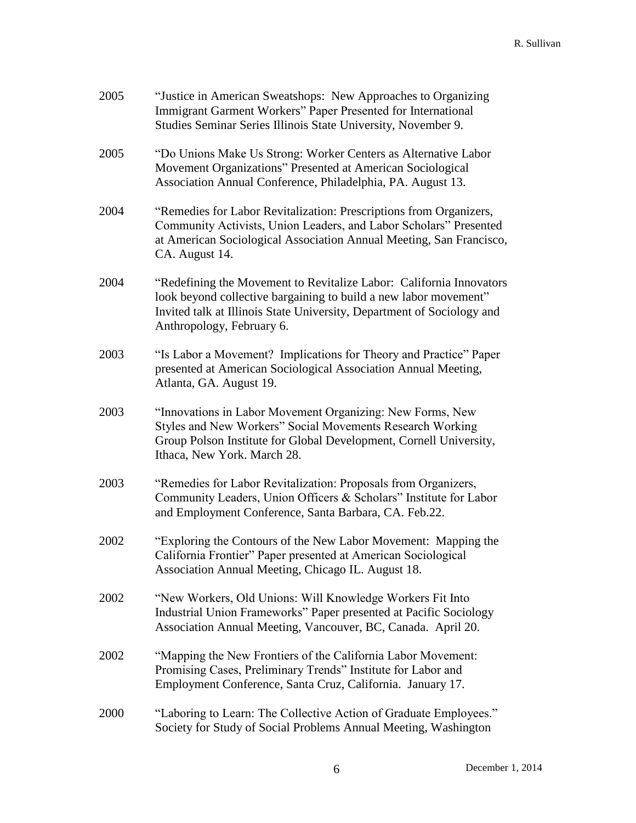| 2005 | "Justice in American Sweatshops: New Approaches to Organizing<br>Immigrant Garment Workers" Paper Presented for International<br>Studies Seminar Series Illinois State University, November 9.                                                 |
|------|------------------------------------------------------------------------------------------------------------------------------------------------------------------------------------------------------------------------------------------------|
| 2005 | "Do Unions Make Us Strong: Worker Centers as Alternative Labor<br>Movement Organizations" Presented at American Sociological<br>Association Annual Conference, Philadelphia, PA. August 13.                                                    |
| 2004 | "Remedies for Labor Revitalization: Prescriptions from Organizers,<br>Community Activists, Union Leaders, and Labor Scholars" Presented<br>at American Sociological Association Annual Meeting, San Francisco,<br>CA. August 14.               |
| 2004 | "Redefining the Movement to Revitalize Labor: California Innovators<br>look beyond collective bargaining to build a new labor movement"<br>Invited talk at Illinois State University, Department of Sociology and<br>Anthropology, February 6. |
| 2003 | "Is Labor a Movement? Implications for Theory and Practice" Paper<br>presented at American Sociological Association Annual Meeting,<br>Atlanta, GA. August 19.                                                                                 |
| 2003 | "Innovations in Labor Movement Organizing: New Forms, New<br>Styles and New Workers" Social Movements Research Working<br>Group Polson Institute for Global Development, Cornell University,<br>Ithaca, New York. March 28.                    |
| 2003 | "Remedies for Labor Revitalization: Proposals from Organizers,<br>Community Leaders, Union Officers & Scholars" Institute for Labor<br>and Employment Conference, Santa Barbara, CA. Feb.22.                                                   |
| 2002 | "Exploring the Contours of the New Labor Movement: Mapping the<br>California Frontier" Paper presented at American Sociological<br>Association Annual Meeting, Chicago IL. August 18.                                                          |
| 2002 | "New Workers, Old Unions: Will Knowledge Workers Fit Into<br>Industrial Union Frameworks" Paper presented at Pacific Sociology<br>Association Annual Meeting, Vancouver, BC, Canada. April 20.                                                 |
| 2002 | "Mapping the New Frontiers of the California Labor Movement:<br>Promising Cases, Preliminary Trends" Institute for Labor and<br>Employment Conference, Santa Cruz, California. January 17.                                                     |
| 2000 | "Laboring to Learn: The Collective Action of Graduate Employees."<br>Society for Study of Social Problems Annual Meeting, Washington                                                                                                           |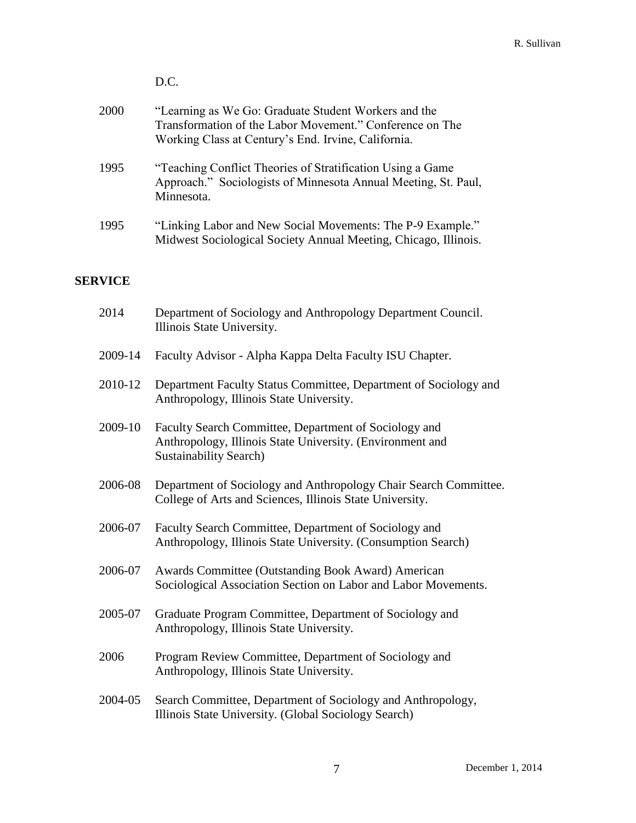|      | D.C.                                                                                                                                                                    |
|------|-------------------------------------------------------------------------------------------------------------------------------------------------------------------------|
| 2000 | "Learning as We Go: Graduate Student Workers and the<br>Transformation of the Labor Movement." Conference on The<br>Working Class at Century's End. Irvine, California. |
| 1995 | "Teaching Conflict Theories of Stratification Using a Game"<br>Approach." Sociologists of Minnesota Annual Meeting, St. Paul,<br>Minnesota.                             |
| 1995 | "Linking Labor and New Social Movements: The P-9 Example."<br>Midwest Sociological Society Annual Meeting, Chicago, Illinois.                                           |

### **SERVICE**

| 2014    | Department of Sociology and Anthropology Department Council.<br>Illinois State University.                                                          |
|---------|-----------------------------------------------------------------------------------------------------------------------------------------------------|
| 2009-14 | Faculty Advisor - Alpha Kappa Delta Faculty ISU Chapter.                                                                                            |
| 2010-12 | Department Faculty Status Committee, Department of Sociology and<br>Anthropology, Illinois State University.                                        |
| 2009-10 | Faculty Search Committee, Department of Sociology and<br>Anthropology, Illinois State University. (Environment and<br><b>Sustainability Search)</b> |
| 2006-08 | Department of Sociology and Anthropology Chair Search Committee.<br>College of Arts and Sciences, Illinois State University.                        |
| 2006-07 | Faculty Search Committee, Department of Sociology and<br>Anthropology, Illinois State University. (Consumption Search)                              |
| 2006-07 | Awards Committee (Outstanding Book Award) American<br>Sociological Association Section on Labor and Labor Movements.                                |
| 2005-07 | Graduate Program Committee, Department of Sociology and<br>Anthropology, Illinois State University.                                                 |
| 2006    | Program Review Committee, Department of Sociology and<br>Anthropology, Illinois State University.                                                   |
| 2004-05 | Search Committee, Department of Sociology and Anthropology,<br>Illinois State University. (Global Sociology Search)                                 |